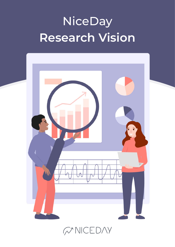# NiceDay **Research Vision**



WNCEDAY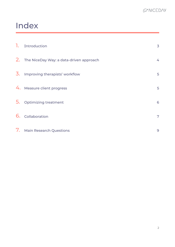# Index

| 1. | Introduction                               | 3 |
|----|--------------------------------------------|---|
|    | 2. The NiceDay Way: a data-driven approach | 4 |
|    | 3. Improving therapists' workflow          | 5 |
|    | 4. Measure client progress                 | 5 |
| 5. | <b>Optimizing treatment</b>                | 6 |
| 6. | Collaboration                              | 7 |
|    | 7. Main Research Questions                 | 9 |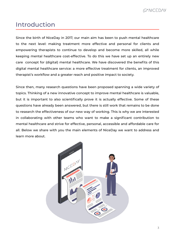## Introduction

Since the birth of NiceDay in 2017, our main aim has been to push mental healthcare to the next level: making treatment more effective and personal for clients and empowering therapists to continue to develop and become more skilled, all while keeping mental healthcare cost-effective. To do this we have set up an entirely new care concept for (digital) mental healthcare. We have discovered the benefits of this digital mental healthcare service: a more effective treatment for clients, an improved therapist's workflow and a greater reach and positive impact to society.

Since then, many research questions have been proposed spanning a wide variety of topics. Thinking of a new innovative concept to improve mental healthcare is valuable, but it is important to also scientifically prove it is actually effective. Some of these questions have already been answered, but there is still work that remains to be done to research the effectiveness of our new way of working. This is why we are interested in collaborating with other teams who want to make a significant contribution to mental healthcare and strive for effective, personal, accessible and affordable care for all. Below we share with you the main elements of NiceDay we want to address and learn more about.

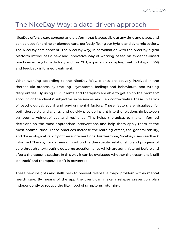# The NiceDay Way: a data-driven approach

NiceDay offers a care concept and platform that is accessible at any time and place, and can be used for online or blended care, perfectly fitting our hybrid and dynamic society. The NiceDay care concept (The NiceDay way) in combination with the NiceDay digital platform introduces a new and innovative way of working based on evidence-based practices in psychopathology such as CBT, experience sampling methodology (ESM) and feedback informed treatment.

When working according to the NiceDay Way, clients are actively involved in the therapeutic process by tracking symptoms, feelings and behaviours, and writing diary entries. By using ESM, clients and therapists are able to get an 'in the moment' account of the clients' subjective experiences and can contextualise these in terms of psychological, social and environmental factors. These factors are visualised for both therapists and clients, and quickly provide insight into the relationship between symptoms, vulnerabilities and resilience. This helps therapists to make informed decisions on the most appropriate interventions and help them apply them at the most optimal time. These practices increase the learning effect, the generalizability, and the ecological validity of these interventions. Furthermore, NiceDay uses Feedback Informed Therapy for gathering input on the therapeutic relationship and progress of care through short routine outcome questionnaires which are administered before and after a therapeutic session. In this way it can be evaluated whether the treatment is still 'on track' and therapeutic drift is prevented.

These new insights and skills help to prevent relapse, a major problem within mental health care. By means of the app the client can make a relapse prevention plan independently to reduce the likelihood of symptoms returning.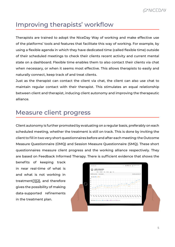# Improving therapists' workflow

Therapists are trained to adopt the NiceDay Way of working and make effective use of the platforms' tools and features that facilitate this way of working. For example, by using a flexible agenda in which they have dedicated time (called flexible time) outside of their scheduled meetings to check their clients recent activity and current mental state on a dashboard. Flexible time enables them to also contact their clients via chat when necessary, or when it seems most effective. This allows therapists to easily and naturally connect, keep track of and treat clients.

Just as the therapist can contact the client via chat, the client can also use chat to maintain regular contact with their therapist. This stimulates an equal relationship between client and therapist, inducing client autonomy and improving the therapeutic alliance.

### Measure client progress

Client autonomy is further promoted by evaluating on a regular basis, preferably on each scheduled meeting, whether the treatment is still on track. This is done by inviting the client to fill in two very short questionnaires before and after each meeting: the Outcome Measure Questionnaire (OMQ) and Session Measure Questionnaire (SMQ). These short questionnaires measure client progress and the working alliance respectively. They are based on Feedback Informed Therapy. There is sufficient evidence that shows the

benefits of keeping track in near real-time of what is and what is not working in treatment[\[1\]](https://pubmed.ncbi.nlm.nih.gov/32658496/)[\[2\],](https://pubmed.ncbi.nlm.nih.gov/28501021/) and therefore gives the possibility of making data-supported refinements in the treatment plan.

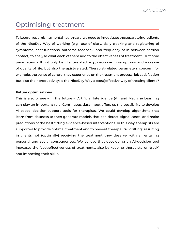# Optimising treatment

To keep on optimising mental health care, we need to investigate the separate ingredients of the NiceDay Way of working (e.g., use of diary, daily tracking and registering of symptoms, chat-functions, outcome feedback, and frequency of in-between session contact) to analyse what each of them add to the effectiveness of treatment. Outcome parameters will not only be client-related, e.g., decrease in symptoms and increase of quality of life, but also therapist-related. Therapist-related parameters concern, for example, the sense of control they experience on the treatment process, job satisfaction but also their productivity; is the NiceDay Way a (cost)effective way of treating clients?

#### **Future optimisations**

This is also where – in the future - Artificial Intelligence (AI) and Machine Learning can play an important role. Continuous data-input offers us the possibility to develop AI-based decision-support tools for therapists. We could develop algorithms that learn from datasets to then generate models that can detect 'signal cases' and make predictions of the best fitting evidence-based interventions. In this way, therapists are supported to provide optimal treatment and to prevent therapeutic 'drifting', resulting in clients not (optimally) receiving the treatment they deserve, with all entailing personal and social consequences. We believe that developing an AI-decision tool increases the (cost)effectiveness of treatments, also by keeping therapists 'on-track' and improving their skills.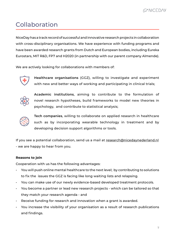#### *M* NICEDAY

# Collaboration

NiceDay has a track record of successful and innovative research projects in collaboration with cross-disciplinary organisations. We have experience with funding programs and have been awarded research grants from Dutch and European bodies, including Eureka Eurostars, MIT R&D, FP7 and H2020 (in partnership with our parent company Almende).

We are actively looking for collaborations with members of:



**Healthcare organisations** (GGZ), willing to investigate and experiment with new and better ways of working and participating in clinical trials;



**Academic institutions**, aiming to contribute to the formulation of novel research hypotheses, build frameworks to model new theories in psychology, and contribute to statistical analysis;



**Tech companies**, willing to collaborate on applied research in healthcare such as by incorporating wearable technology in treatment and by developing decision support algorithms or tools.

If you see a potential collaboration, send us a mail at [research@nicedaynederland.nl](mailto:research%40nicedaynederland.nl?subject=) - we are happy to hear from you.

#### **Reasons to join**

Cooperation with us has the following advantages:

- You will push online mental healthcare to the next level; by contributing to solutions to fix the issues the GGZ is facing like long waiting lists and relapsing.
- You can make use of our newly evidence-based developed treatment protocols.
- You become a partner or lead new research projects which can be tailored so that they match your research agenda - and
- Receive funding for research and innovation when a grant is awarded.
- You increase the visibility of your organisation as a result of research publications and findings.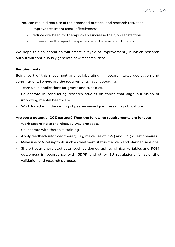- You can make direct use of the amended protocol and research results to:
	- improve treatment (cost-)effectiveness
	- reduce overhead for therapists and increase their job satisfaction
	- increase the therapeutic experience of therapists and clients.

We hope this collaboration will create a 'cycle of improvement', in which research output will continuously generate new research ideas.

#### **Requirements**

Being part of this movement and collaborating in research takes dedication and commitment. So here are the requirements in collaborating:

- Team up in applications for grants and subsidies.
- Collaborate in conducting research studies on topics that align our vision of improving mental healthcare.
- Work together in the writing of peer-reviewed joint research publications.

#### **Are you a potential GGZ partner? Then the following requirements are for you:**

- Work according to the NiceDay Way protocols.
- Collaborate with therapist training.
- Apply feedback informed therapy (e.g make use of OMQ and SMQ questionnaires.
- Make use of NiceDay tools such as treatment status, trackers and planned sessions.
- Share treatment-related data (such as demographics, clinical variables and ROM outcomes) in accordance with GDPR and other EU regulations for scientific validation and research purposes.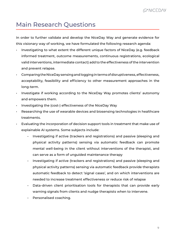# Main Research Questions

In order to further validate and develop the NiceDay Way and generate evidence for this visionary way of working, we have formulated the following research agenda:

- Investigating to what extent the different unique factors of NiceDay (e.g. feedback informed treatment, outcome measurements, continuous registrations, ecological valid interventions, intermediate contact) add to the effectiveness of the intervention and prevent relapse.
- Comparing the NiceDay sensing and logging in terms of disruptiveness, effectiveness, acceptability, feasibility and efficiency to other measurement approaches in the long-term.
- Investigate if working according to the NiceDay Way promotes clients' autonomy and empowers them.
- Investigating the (cost-) effectiveness of the NiceDay Way
- Researching the use of wearable devices and biosensing technologies in healthcare treatments.
- Evaluating the incorporation of decision support tools in treatment that make use of explainable AI systems. Some subjects include:
	- Investigating if active (trackers and registrations) and passive (sleeping and physical activity patterns) sensing via automatic feedback can promote mental well-being in the client without interventions of the therapist, and can serve as a form of unguided maintenance therapy
	- Investigating if active (trackers and registrations) and passive (sleeping and physical activity patterns) sensing via automatic feedback provide therapists automatic feedback to detect 'signal cases', and on which interventions are needed to increase treatment effectiveness or reduce risk of relapse
	- Data-driven client prioritisation tools for therapists that can provide early warning signals from clients and nudge therapists when to intervene.
	- Personalised coaching.